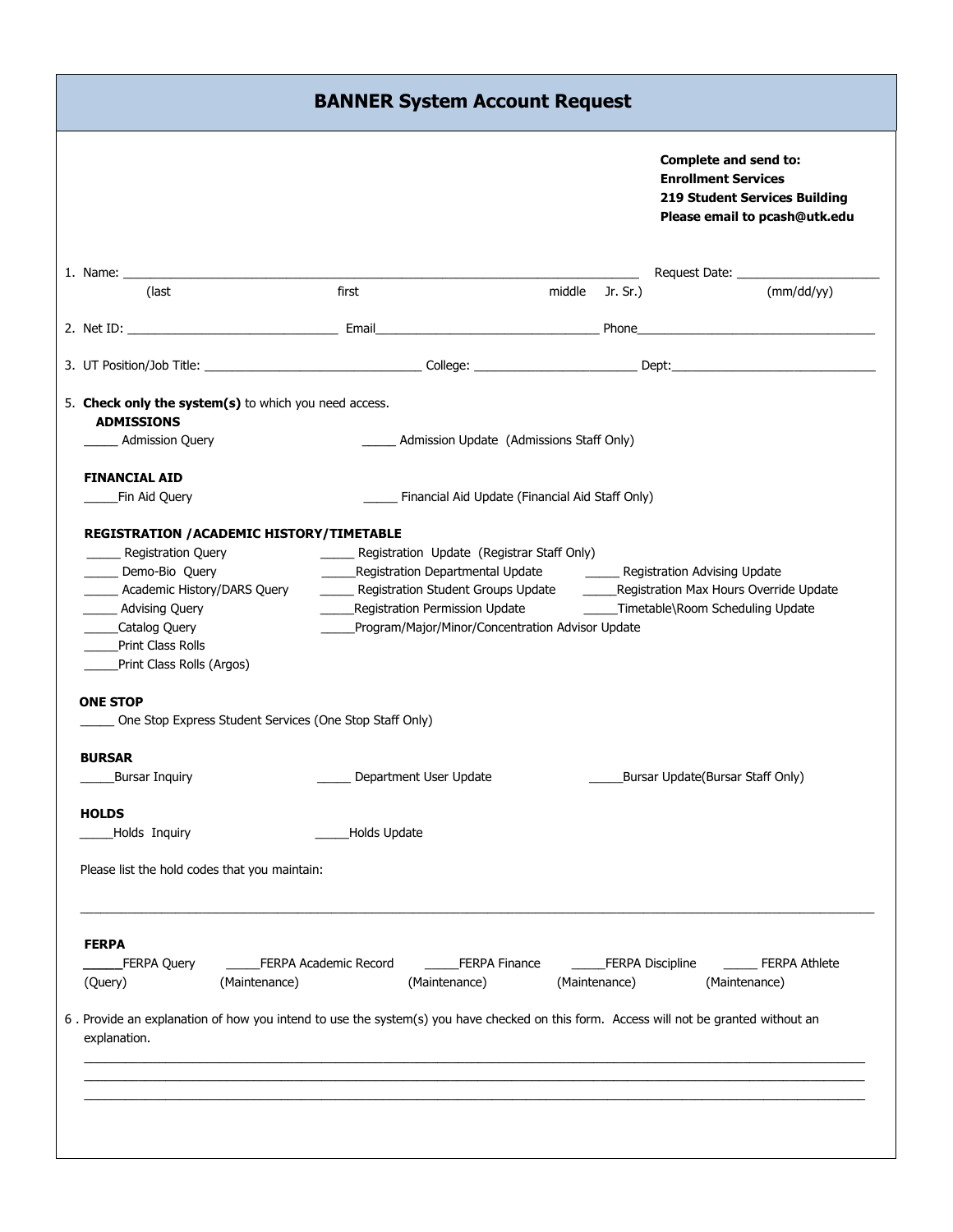|                                                                            |                                                                                                                                       |                                                  | <b>Complete and send to:</b><br><b>Enrollment Services</b><br><b>219 Student Services Building</b><br>Please email to pcash@utk.edu |                                  |  |
|----------------------------------------------------------------------------|---------------------------------------------------------------------------------------------------------------------------------------|--------------------------------------------------|-------------------------------------------------------------------------------------------------------------------------------------|----------------------------------|--|
|                                                                            |                                                                                                                                       |                                                  |                                                                                                                                     |                                  |  |
| (last                                                                      | first                                                                                                                                 | middle Jr. Sr.)                                  |                                                                                                                                     | (mm/dd/yy)                       |  |
|                                                                            |                                                                                                                                       |                                                  |                                                                                                                                     |                                  |  |
|                                                                            |                                                                                                                                       |                                                  |                                                                                                                                     |                                  |  |
| 5. Check only the system(s) to which you need access.<br><b>ADMISSIONS</b> |                                                                                                                                       |                                                  |                                                                                                                                     |                                  |  |
| Admission Query                                                            |                                                                                                                                       | Admission Update (Admissions Staff Only)         |                                                                                                                                     |                                  |  |
| <b>FINANCIAL AID</b>                                                       |                                                                                                                                       |                                                  |                                                                                                                                     |                                  |  |
| Fin Aid Query                                                              |                                                                                                                                       | Financial Aid Update (Financial Aid Staff Only)  |                                                                                                                                     |                                  |  |
| REGISTRATION / ACADEMIC HISTORY/TIMETABLE                                  |                                                                                                                                       |                                                  |                                                                                                                                     |                                  |  |
| ____ Registration Query                                                    | _______ Registration Update (Registrar Staff Only)                                                                                    |                                                  |                                                                                                                                     |                                  |  |
| Demo-Bio Query                                                             |                                                                                                                                       |                                                  |                                                                                                                                     |                                  |  |
| ____ Academic History/DARS Query                                           |                                                                                                                                       |                                                  |                                                                                                                                     |                                  |  |
| _____ Advising Query                                                       | ______Registration Permission Update __________________Timetable\Room Scheduling Update                                               |                                                  |                                                                                                                                     |                                  |  |
| _Catalog Query                                                             |                                                                                                                                       | Program/Major/Minor/Concentration Advisor Update |                                                                                                                                     |                                  |  |
| <b>Print Class Rolls</b>                                                   |                                                                                                                                       |                                                  |                                                                                                                                     |                                  |  |
| Print Class Rolls (Argos)                                                  |                                                                                                                                       |                                                  |                                                                                                                                     |                                  |  |
| <b>ONE STOP</b>                                                            |                                                                                                                                       |                                                  |                                                                                                                                     |                                  |  |
| One Stop Express Student Services (One Stop Staff Only)                    |                                                                                                                                       |                                                  |                                                                                                                                     |                                  |  |
| <b>BURSAR</b>                                                              |                                                                                                                                       |                                                  |                                                                                                                                     |                                  |  |
| <b>Bursar Inquiry</b>                                                      | Department User Update                                                                                                                |                                                  |                                                                                                                                     | Bursar Update(Bursar Staff Only) |  |
| <b>HOLDS</b>                                                               |                                                                                                                                       |                                                  |                                                                                                                                     |                                  |  |
| Holds Inquiry                                                              | Holds Update                                                                                                                          |                                                  |                                                                                                                                     |                                  |  |
|                                                                            |                                                                                                                                       |                                                  |                                                                                                                                     |                                  |  |
| Please list the hold codes that you maintain:                              |                                                                                                                                       |                                                  |                                                                                                                                     |                                  |  |
|                                                                            |                                                                                                                                       |                                                  |                                                                                                                                     |                                  |  |
| <b>FERPA</b>                                                               |                                                                                                                                       |                                                  |                                                                                                                                     |                                  |  |
| FERPA Query                                                                | FERPA Academic Record                                                                                                                 | <b>FERPA Finance</b>                             | _FERPA Discipline                                                                                                                   | <b>FERPA Athlete</b>             |  |
| (Query)                                                                    | (Maintenance)<br>(Maintenance)                                                                                                        | (Maintenance)                                    |                                                                                                                                     | (Maintenance)                    |  |
|                                                                            | 6. Provide an explanation of how you intend to use the system(s) you have checked on this form. Access will not be granted without an |                                                  |                                                                                                                                     |                                  |  |
| explanation.                                                               |                                                                                                                                       |                                                  |                                                                                                                                     |                                  |  |
|                                                                            |                                                                                                                                       |                                                  |                                                                                                                                     |                                  |  |
|                                                                            |                                                                                                                                       |                                                  |                                                                                                                                     |                                  |  |